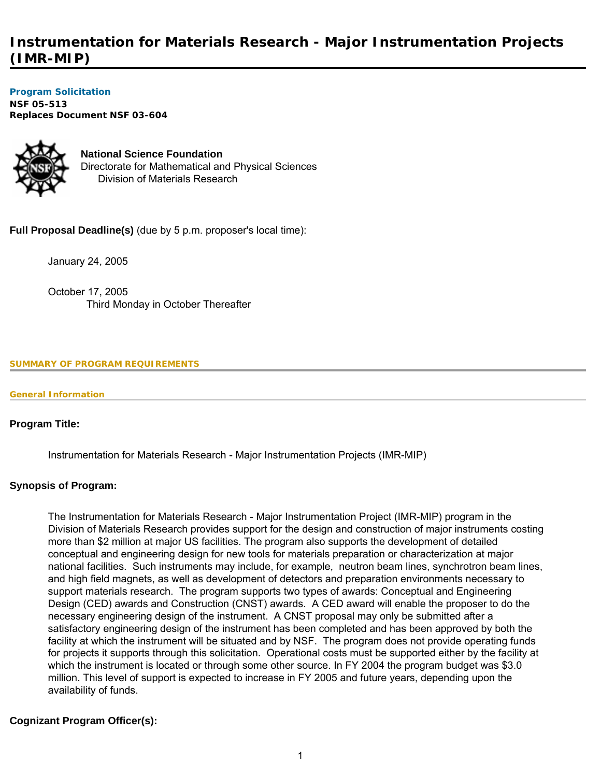# **Instrumentation for Materials Research - Major Instrumentation Projects (IMR-MIP)**

### **[Program Solicitation](#page-2-0)**

**NSF 05-513**  *Replaces Document* **NSF 03-604** 



**National Science Foundation** Directorate for Mathematical and Physical Sciences Division of Materials Research

**Full Proposal Deadline(s)** (due by 5 p.m. proposer's local time):

January 24, 2005

October 17, 2005 Third Monday in October Thereafter

### <span id="page-0-0"></span>**SUMMARY OF PROGRAM REQUIREMENTS**

### **General Information**

# **Program Title:**

Instrumentation for Materials Research - Major Instrumentation Projects (IMR-MIP)

# **Synopsis of Program:**

The Instrumentation for Materials Research - Major Instrumentation Project (IMR-MIP) program in the Division of Materials Research provides support for the design and construction of major instruments costing more than \$2 million at major US facilities. The program also supports the development of detailed conceptual and engineering design for new tools for materials preparation or characterization at major national facilities. Such instruments may include, for example, neutron beam lines, synchrotron beam lines, and high field magnets, as well as development of detectors and preparation environments necessary to support materials research. The program supports two types of awards: Conceptual and Engineering Design (CED) awards and Construction (CNST) awards. A CED award will enable the proposer to do the necessary engineering design of the instrument. A CNST proposal may only be submitted after a satisfactory engineering design of the instrument has been completed and has been approved by both the facility at which the instrument will be situated and by NSF. The program does not provide operating funds for projects it supports through this solicitation. Operational costs must be supported either by the facility at which the instrument is located or through some other source. In FY 2004 the program budget was \$3.0 million. This level of support is expected to increase in FY 2005 and future years, depending upon the availability of funds.

# **Cognizant Program Officer(s):**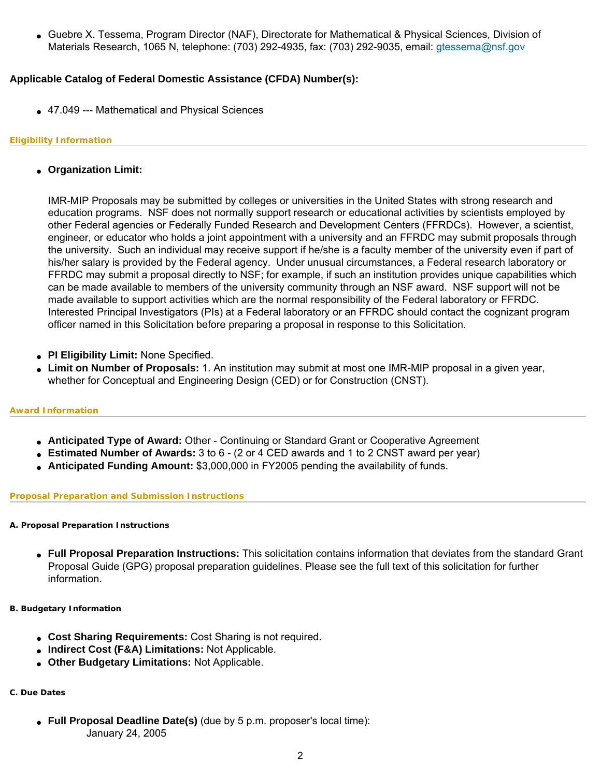● Guebre X. Tessema, Program Director (NAF), Directorate for Mathematical & Physical Sciences, Division of Materials Research, 1065 N, telephone: (703) 292-4935, fax: (703) 292-9035, email: [gtessema@nsf.gov](mailto:gtessema@nsf.gov)

# **Applicable Catalog of Federal Domestic Assistance (CFDA) Number(s):**

• 47.049 --- Mathematical and Physical Sciences

### **Eligibility Information**

● **Organization Limit:** 

IMR-MIP Proposals may be submitted by colleges or universities in the United States with strong research and education programs. NSF does not normally support research or educational activities by scientists employed by other Federal agencies or Federally Funded Research and Development Centers (FFRDCs). However, a scientist, engineer, or educator who holds a joint appointment with a university and an FFRDC may submit proposals through the university. Such an individual may receive support if he/she is a faculty member of the university even if part of his/her salary is provided by the Federal agency. Under unusual circumstances, a Federal research laboratory or FFRDC may submit a proposal directly to NSF; for example, if such an institution provides unique capabilities which can be made available to members of the university community through an NSF award. NSF support will not be made available to support activities which are the normal responsibility of the Federal laboratory or FFRDC. Interested Principal Investigators (PIs) at a Federal laboratory or an FFRDC should contact the cognizant program officer named in this Solicitation before preparing a proposal in response to this Solicitation.

- **PI Eligibility Limit:** None Specified.
- **Limit on Number of Proposals:** 1. An institution may submit at most one IMR-MIP proposal in a given year, whether for Conceptual and Engineering Design (CED) or for Construction (CNST).

### **Award Information**

- **Anticipated Type of Award:** Other Continuing or Standard Grant or Cooperative Agreement
- **Estimated Number of Awards:** 3 to 6 (2 or 4 CED awards and 1 to 2 CNST award per year)
- **Anticipated Funding Amount:** \$3,000,000 in FY2005 pending the availability of funds.

### **Proposal Preparation and Submission Instructions**

# **A. Proposal Preparation Instructions**

● **Full Proposal Preparation Instructions:** This solicitation contains information that deviates from the standard Grant Proposal Guide (GPG) proposal preparation guidelines. Please see the full text of this solicitation for further information.

# **B. Budgetary Information**

- Cost Sharing Requirements: Cost Sharing is not required.
- **Indirect Cost (F&A) Limitations:** Not Applicable.
- **Other Budgetary Limitations:** Not Applicable.

# **C. Due Dates**

● **Full Proposal Deadline Date(s)** (due by 5 p.m. proposer's local time): January 24, 2005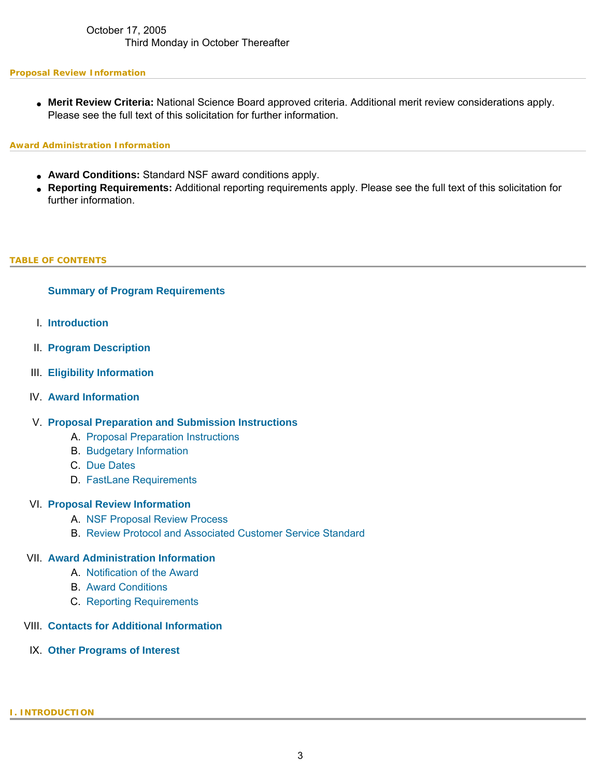#### **Proposal Review Information**

● **Merit Review Criteria:** National Science Board approved criteria. Additional merit review considerations apply. Please see the full text of this solicitation for further information.

#### **Award Administration Information**

- Award Conditions: Standard NSF award conditions apply.
- **Reporting Requirements:** Additional reporting requirements apply. Please see the full text of this solicitation for further information.

### <span id="page-2-0"></span>**TABLE OF CONTENTS**

# **[Summary of Program Requirements](#page-0-0)**

- I. **[Introduction](#page-2-1)**
- II. **[Program Description](#page-3-0)**
- III. **[Eligibility Information](#page-4-0)**
- IV. **[Award Information](#page-4-1)**
- V. **[Proposal Preparation and Submission Instructions](#page-5-0)**
	- A. [Proposal Preparation Instructions](#page-5-0)
	- B. [Budgetary Information](#page-7-0)
	- C. [Due Dates](#page-7-1)
	- D. [FastLane Requirements](#page-7-2)

# VI. **[Proposal Review Information](#page-7-3)**

- A. [NSF Proposal Review Process](#page-7-4)
- B. [Review Protocol and Associated Customer Service Standard](#page-10-0)

# VII. **[Award Administration Information](#page-11-0)**

- A. [Notification of the Award](#page-11-1)
- B. [Award Conditions](#page-11-2)
- C. [Reporting Requirements](#page-11-3)

# VIII. **[Contacts for Additional Information](#page-12-0)**

<span id="page-2-1"></span>IX. **[Other Programs of Interest](#page-12-1)**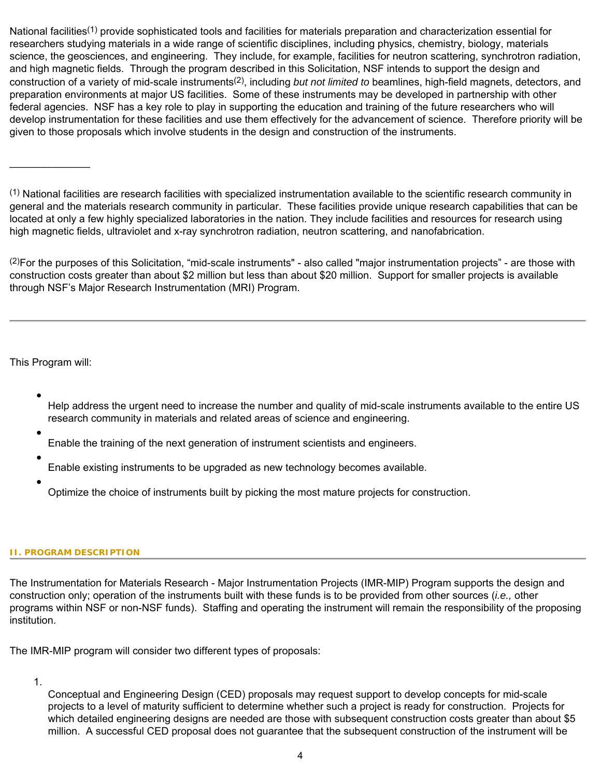National facilities<sup>(1)</sup> provide sophisticated tools and facilities for materials preparation and characterization essential for researchers studying materials in a wide range of scientific disciplines, including physics, chemistry, biology, materials science, the geosciences, and engineering. They include, for example, facilities for neutron scattering, synchrotron radiation, and high magnetic fields. Through the program described in this Solicitation, NSF intends to support the design and construction of a variety of mid-scale instruments(2), including *but not limited to* beamlines, high-field magnets, detectors, and preparation environments at major US facilities. Some of these instruments may be developed in partnership with other federal agencies. NSF has a key role to play in supporting the education and training of the future researchers who will develop instrumentation for these facilities and use them effectively for the advancement of science. Therefore priority will be given to those proposals which involve students in the design and construction of the instruments.

(1) National facilities are research facilities with specialized instrumentation available to the scientific research community in general and the materials research community in particular. These facilities provide unique research capabilities that can be located at only a few highly specialized laboratories in the nation. They include facilities and resources for research using high magnetic fields, ultraviolet and x-ray synchrotron radiation, neutron scattering, and nanofabrication.

 $(2)$ For the purposes of this Solicitation, "mid-scale instruments" - also called "major instrumentation projects" - are those with construction costs greater than about \$2 million but less than about \$20 million. Support for smaller projects is available through NSF's Major Research Instrumentation (MRI) Program.

This Program will:

●

●

●

\_\_\_\_\_\_\_\_\_\_\_\_\_\_

- Help address the urgent need to increase the number and quality of mid-scale instruments available to the entire US research community in materials and related areas of science and engineering.
- Enable the training of the next generation of instrument scientists and engineers.
- Enable existing instruments to be upgraded as new technology becomes available.
- Optimize the choice of instruments built by picking the most mature projects for construction.

# <span id="page-3-0"></span>**II. PROGRAM DESCRIPTION**

The Instrumentation for Materials Research - Major Instrumentation Projects (IMR-MIP) Program supports the design and construction only; operation of the instruments built with these funds is to be provided from other sources (*i.e.,* other programs within NSF or non-NSF funds). Staffing and operating the instrument will remain the responsibility of the proposing institution.

The IMR-MIP program will consider two different types of proposals:

1.

Conceptual and Engineering Design (CED) proposals may request support to develop concepts for mid-scale projects to a level of maturity sufficient to determine whether such a project is ready for construction. Projects for which detailed engineering designs are needed are those with subsequent construction costs greater than about \$5 million. A successful CED proposal does not guarantee that the subsequent construction of the instrument will be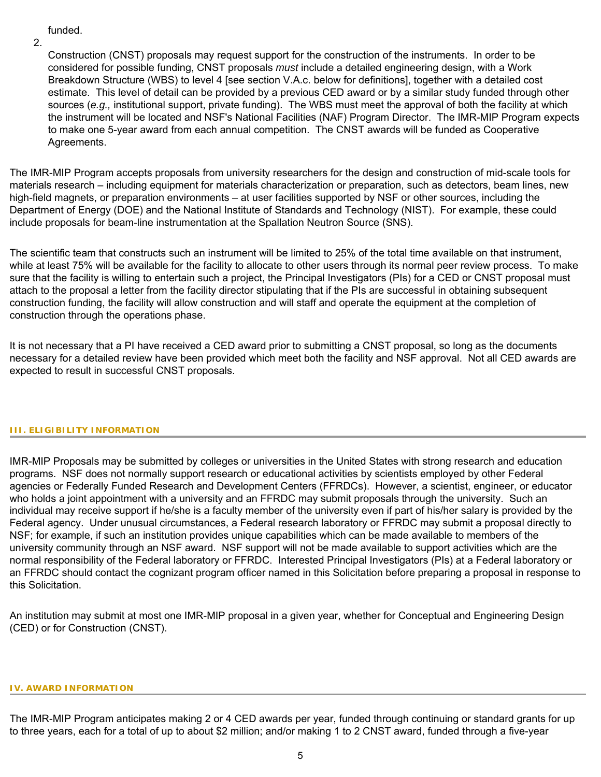# funded.

2.

Construction (CNST) proposals may request support for the construction of the instruments. In order to be considered for possible funding, CNST proposals *must* include a detailed engineering design, with a Work Breakdown Structure (WBS) to level 4 [see section V.A.c. below for definitions], together with a detailed cost estimate. This level of detail can be provided by a previous CED award or by a similar study funded through other sources (*e.g.,* institutional support, private funding). The WBS must meet the approval of both the facility at which the instrument will be located and NSF's National Facilities (NAF) Program Director. The IMR-MIP Program expects to make one 5-year award from each annual competition. The CNST awards will be funded as Cooperative Agreements.

The IMR-MIP Program accepts proposals from university researchers for the design and construction of mid-scale tools for materials research – including equipment for materials characterization or preparation, such as detectors, beam lines, new high-field magnets, or preparation environments – at user facilities supported by NSF or other sources, including the Department of Energy (DOE) and the National Institute of Standards and Technology (NIST). For example, these could include proposals for beam-line instrumentation at the Spallation Neutron Source (SNS).

The scientific team that constructs such an instrument will be limited to 25% of the total time available on that instrument, while at least 75% will be available for the facility to allocate to other users through its normal peer review process. To make sure that the facility is willing to entertain such a project, the Principal Investigators (PIs) for a CED or CNST proposal must attach to the proposal a letter from the facility director stipulating that if the PIs are successful in obtaining subsequent construction funding, the facility will allow construction and will staff and operate the equipment at the completion of construction through the operations phase.

It is not necessary that a PI have received a CED award prior to submitting a CNST proposal, so long as the documents necessary for a detailed review have been provided which meet both the facility and NSF approval. Not all CED awards are expected to result in successful CNST proposals.

# <span id="page-4-0"></span>**III. ELIGIBILITY INFORMATION**

IMR-MIP Proposals may be submitted by colleges or universities in the United States with strong research and education programs. NSF does not normally support research or educational activities by scientists employed by other Federal agencies or Federally Funded Research and Development Centers (FFRDCs). However, a scientist, engineer, or educator who holds a joint appointment with a university and an FFRDC may submit proposals through the university. Such an individual may receive support if he/she is a faculty member of the university even if part of his/her salary is provided by the Federal agency. Under unusual circumstances, a Federal research laboratory or FFRDC may submit a proposal directly to NSF; for example, if such an institution provides unique capabilities which can be made available to members of the university community through an NSF award. NSF support will not be made available to support activities which are the normal responsibility of the Federal laboratory or FFRDC. Interested Principal Investigators (PIs) at a Federal laboratory or an FFRDC should contact the cognizant program officer named in this Solicitation before preparing a proposal in response to this Solicitation.

An institution may submit at most one IMR-MIP proposal in a given year, whether for Conceptual and Engineering Design (CED) or for Construction (CNST).

### <span id="page-4-1"></span>**IV. AWARD INFORMATION**

The IMR-MIP Program anticipates making 2 or 4 CED awards per year, funded through continuing or standard grants for up to three years, each for a total of up to about \$2 million; and/or making 1 to 2 CNST award, funded through a five-year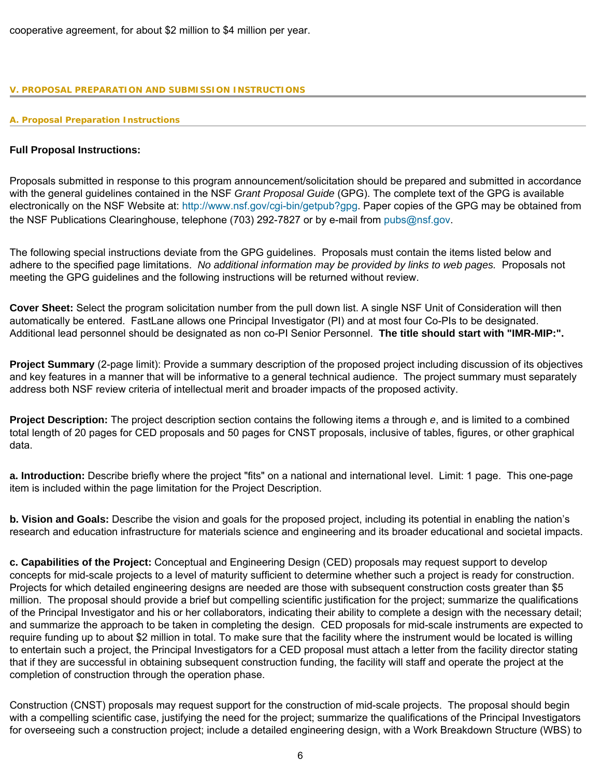cooperative agreement, for about \$2 million to \$4 million per year.

### <span id="page-5-0"></span>**V. PROPOSAL PREPARATION AND SUBMISSION INSTRUCTIONS**

# **A. Proposal Preparation Instructions**

# **Full Proposal Instructions:**

Proposals submitted in response to this program announcement/solicitation should be prepared and submitted in accordance with the general guidelines contained in the NSF *Grant Proposal Guide* (GPG). The complete text of the GPG is available electronically on the NSF Website at: <http://www.nsf.gov/cgi-bin/getpub?gpg>. Paper copies of the GPG may be obtained from the NSF Publications Clearinghouse, telephone (703) 292-7827 or by e-mail from [pubs@nsf.gov.](mailto:pubs@nsf.gov)

The following special instructions deviate from the GPG guidelines. Proposals must contain the items listed below and adhere to the specified page limitations. *No additional information may be provided by links to web pages.* Proposals not meeting the GPG guidelines and the following instructions will be returned without review.

**Cover Sheet:** Select the program solicitation number from the pull down list. A single NSF Unit of Consideration will then automatically be entered. FastLane allows one Principal Investigator (PI) and at most four Co-PIs to be designated. Additional lead personnel should be designated as non co-PI Senior Personnel. **The title should start with "IMR-MIP:".**

**Project Summary** (2-page limit): Provide a summary description of the proposed project including discussion of its objectives and key features in a manner that will be informative to a general technical audience. The project summary must separately address both NSF review criteria of intellectual merit and broader impacts of the proposed activity.

**Project Description:** The project description section contains the following items *a* through *e*, and is limited to a combined total length of 20 pages for CED proposals and 50 pages for CNST proposals, inclusive of tables, figures, or other graphical data.

**a. Introduction:** Describe briefly where the project "fits" on a national and international level. Limit: 1 page. This one-page item is included within the page limitation for the Project Description.

**b. Vision and Goals:** Describe the vision and goals for the proposed project, including its potential in enabling the nation's research and education infrastructure for materials science and engineering and its broader educational and societal impacts.

**c. Capabilities of the Project:** Conceptual and Engineering Design (CED) proposals may request support to develop concepts for mid-scale projects to a level of maturity sufficient to determine whether such a project is ready for construction. Projects for which detailed engineering designs are needed are those with subsequent construction costs greater than \$5 million. The proposal should provide a brief but compelling scientific justification for the project; summarize the qualifications of the Principal Investigator and his or her collaborators, indicating their ability to complete a design with the necessary detail; and summarize the approach to be taken in completing the design. CED proposals for mid-scale instruments are expected to require funding up to about \$2 million in total. To make sure that the facility where the instrument would be located is willing to entertain such a project, the Principal Investigators for a CED proposal must attach a letter from the facility director stating that if they are successful in obtaining subsequent construction funding, the facility will staff and operate the project at the completion of construction through the operation phase.

Construction (CNST) proposals may request support for the construction of mid-scale projects. The proposal should begin with a compelling scientific case, justifying the need for the project; summarize the qualifications of the Principal Investigators for overseeing such a construction project; include a detailed engineering design, with a Work Breakdown Structure (WBS) to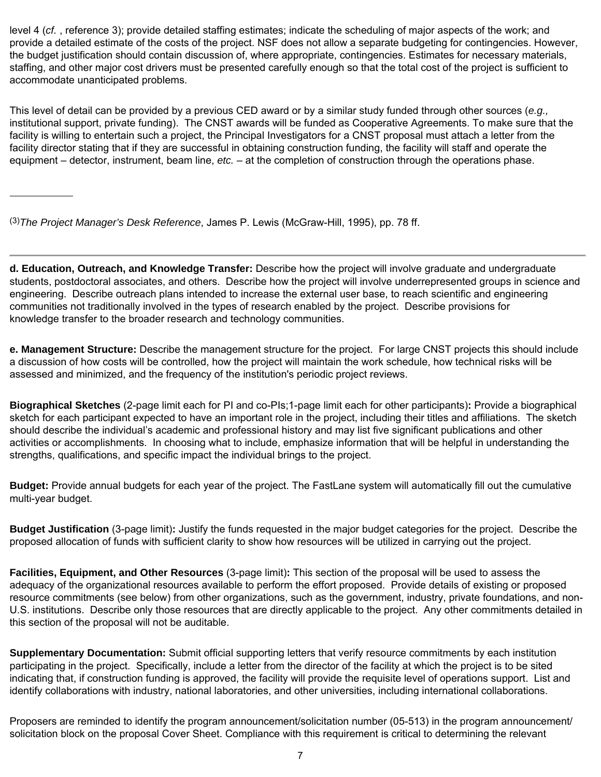level 4 (*cf.* , reference 3); provide detailed staffing estimates; indicate the scheduling of major aspects of the work; and provide a detailed estimate of the costs of the project. NSF does not allow a separate budgeting for contingencies. However, the budget justification should contain discussion of, where appropriate, contingencies. Estimates for necessary materials, staffing, and other major cost drivers must be presented carefully enough so that the total cost of the project is sufficient to accommodate unanticipated problems.

This level of detail can be provided by a previous CED award or by a similar study funded through other sources (*e.g.,* institutional support, private funding). The CNST awards will be funded as Cooperative Agreements. To make sure that the facility is willing to entertain such a project, the Principal Investigators for a CNST proposal must attach a letter from the facility director stating that if they are successful in obtaining construction funding, the facility will staff and operate the equipment – detector, instrument, beam line, *etc.* – at the completion of construction through the operations phase.

(3)*The Project Manager's Desk Reference*, James P. Lewis (McGraw-Hill, 1995), pp. 78 ff.

 $\overline{a}$ 

**d. Education, Outreach, and Knowledge Transfer:** Describe how the project will involve graduate and undergraduate students, postdoctoral associates, and others. Describe how the project will involve underrepresented groups in science and engineering. Describe outreach plans intended to increase the external user base, to reach scientific and engineering communities not traditionally involved in the types of research enabled by the project. Describe provisions for knowledge transfer to the broader research and technology communities.

**e. Management Structure:** Describe the management structure for the project. For large CNST projects this should include a discussion of how costs will be controlled, how the project will maintain the work schedule, how technical risks will be assessed and minimized, and the frequency of the institution's periodic project reviews.

**Biographical Sketches** (2-page limit each for PI and co-PIs;1-page limit each for other participants)**:** Provide a biographical sketch for each participant expected to have an important role in the project, including their titles and affiliations. The sketch should describe the individual's academic and professional history and may list five significant publications and other activities or accomplishments. In choosing what to include, emphasize information that will be helpful in understanding the strengths, qualifications, and specific impact the individual brings to the project.

**Budget:** Provide annual budgets for each year of the project. The FastLane system will automatically fill out the cumulative multi-year budget.

**Budget Justification** (3-page limit)**:** Justify the funds requested in the major budget categories for the project. Describe the proposed allocation of funds with sufficient clarity to show how resources will be utilized in carrying out the project.

**Facilities, Equipment, and Other Resources** (3-page limit)**:** This section of the proposal will be used to assess the adequacy of the organizational resources available to perform the effort proposed. Provide details of existing or proposed resource commitments (see below) from other organizations, such as the government, industry, private foundations, and non-U.S. institutions. Describe only those resources that are directly applicable to the project. Any other commitments detailed in this section of the proposal will not be auditable.

**Supplementary Documentation:** Submit official supporting letters that verify resource commitments by each institution participating in the project. Specifically, include a letter from the director of the facility at which the project is to be sited indicating that, if construction funding is approved, the facility will provide the requisite level of operations support. List and identify collaborations with industry, national laboratories, and other universities, including international collaborations.

Proposers are reminded to identify the program announcement/solicitation number (05-513) in the program announcement/ solicitation block on the proposal Cover Sheet. Compliance with this requirement is critical to determining the relevant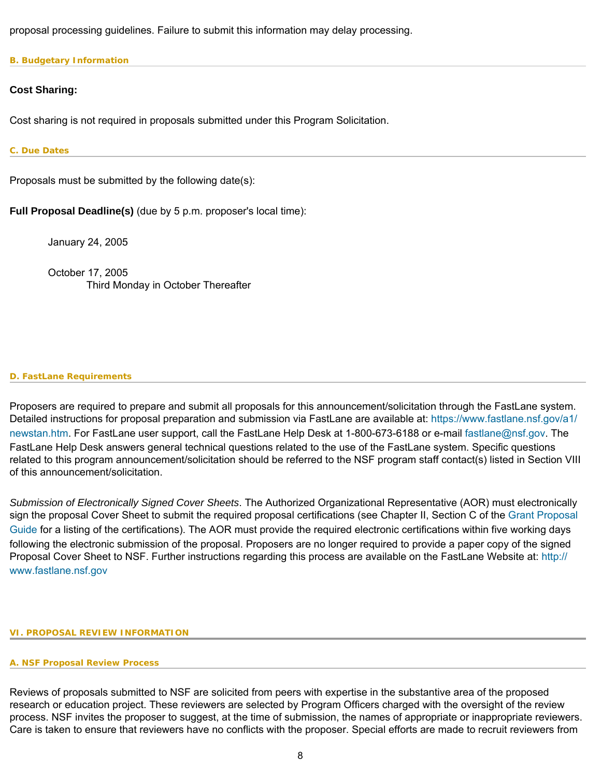proposal processing guidelines. Failure to submit this information may delay processing.

### <span id="page-7-0"></span>**B. Budgetary Information**

### **Cost Sharing:**

Cost sharing is not required in proposals submitted under this Program Solicitation.

#### <span id="page-7-1"></span>**C. Due Dates**

Proposals must be submitted by the following date(s):

**Full Proposal Deadline(s)** (due by 5 p.m. proposer's local time):

January 24, 2005

October 17, 2005 Third Monday in October Thereafter

### <span id="page-7-2"></span>**D. FastLane Requirements**

Proposers are required to prepare and submit all proposals for this announcement/solicitation through the FastLane system. Detailed instructions for proposal preparation and submission via FastLane are available at: [https://www.fastlane.nsf.gov/a1/](https://www.fastlane.nsf.gov/a1/newstan.htm) [newstan.htm.](https://www.fastlane.nsf.gov/a1/newstan.htm) For FastLane user support, call the FastLane Help Desk at 1-800-673-6188 or e-mail [fastlane@nsf.gov.](mailto:fastlane@nsf.gov) The FastLane Help Desk answers general technical questions related to the use of the FastLane system. Specific questions related to this program announcement/solicitation should be referred to the NSF program staff contact(s) listed in Section VIII of this announcement/solicitation.

*Submission of Electronically Signed Cover Sheets*. The Authorized Organizational Representative (AOR) must electronically sign the proposal Cover Sheet to submit the required proposal certifications (see Chapter II, Section C of the [Grant Proposal](http://www.nsf.gov/pubsys/ods/getpub.cfm?gpg)  [Guide](http://www.nsf.gov/pubsys/ods/getpub.cfm?gpg) for a listing of the certifications). The AOR must provide the required electronic certifications within five working days following the electronic submission of the proposal. Proposers are no longer required to provide a paper copy of the signed Proposal Cover Sheet to NSF. Further instructions regarding this process are available on the FastLane Website at: [http://](http://www.fastlane.nsf.gov/) [www.fastlane.nsf.gov](http://www.fastlane.nsf.gov/)

### <span id="page-7-4"></span><span id="page-7-3"></span>**VI. PROPOSAL REVIEW INFORMATION**

# **A. NSF Proposal Review Process**

Reviews of proposals submitted to NSF are solicited from peers with expertise in the substantive area of the proposed research or education project. These reviewers are selected by Program Officers charged with the oversight of the review process. NSF invites the proposer to suggest, at the time of submission, the names of appropriate or inappropriate reviewers. Care is taken to ensure that reviewers have no conflicts with the proposer. Special efforts are made to recruit reviewers from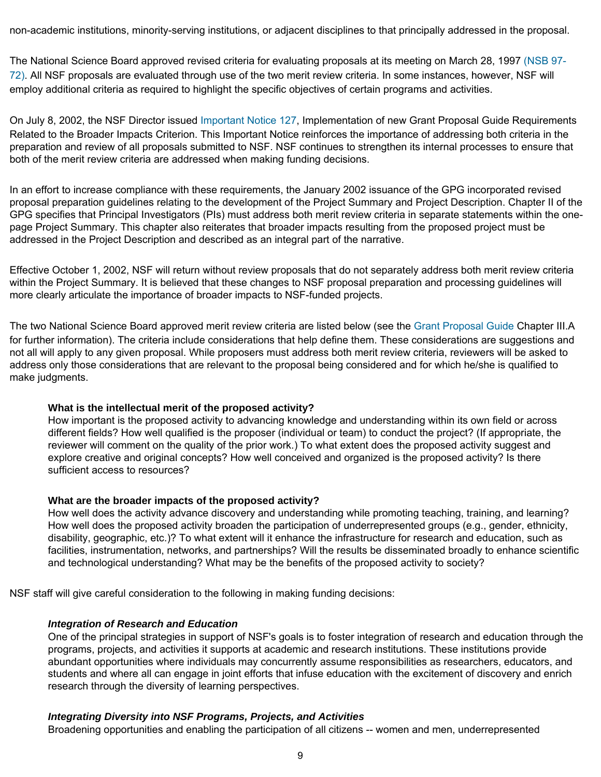non-academic institutions, minority-serving institutions, or adjacent disciplines to that principally addressed in the proposal.

The National Science Board approved revised criteria for evaluating proposals at its meeting on March 28, 1997 [\(NSB 97-](http://www.nsf.gov/pubsys/ods/getpub.cfm?nsb9772) [72\)](http://www.nsf.gov/pubsys/ods/getpub.cfm?nsb9772). All NSF proposals are evaluated through use of the two merit review criteria. In some instances, however, NSF will employ additional criteria as required to highlight the specific objectives of certain programs and activities.

On July 8, 2002, the NSF Director issued [Important Notice 127](http://www.nsf.gov/pubsys/ods/getpub.cfm?iin127), Implementation of new Grant Proposal Guide Requirements Related to the Broader Impacts Criterion. This Important Notice reinforces the importance of addressing both criteria in the preparation and review of all proposals submitted to NSF. NSF continues to strengthen its internal processes to ensure that both of the merit review criteria are addressed when making funding decisions.

In an effort to increase compliance with these requirements, the January 2002 issuance of the GPG incorporated revised proposal preparation guidelines relating to the development of the Project Summary and Project Description. Chapter II of the GPG specifies that Principal Investigators (PIs) must address both merit review criteria in separate statements within the onepage Project Summary. This chapter also reiterates that broader impacts resulting from the proposed project must be addressed in the Project Description and described as an integral part of the narrative.

Effective October 1, 2002, NSF will return without review proposals that do not separately address both merit review criteria within the Project Summary. It is believed that these changes to NSF proposal preparation and processing guidelines will more clearly articulate the importance of broader impacts to NSF-funded projects.

The two National Science Board approved merit review criteria are listed below (see the [Grant Proposal Guide](http://www.nsf.gov/pubsys/ods/getpub.cfm?gpg) Chapter III.A for further information). The criteria include considerations that help define them. These considerations are suggestions and not all will apply to any given proposal. While proposers must address both merit review criteria, reviewers will be asked to address only those considerations that are relevant to the proposal being considered and for which he/she is qualified to make judgments.

# **What is the intellectual merit of the proposed activity?**

How important is the proposed activity to advancing knowledge and understanding within its own field or across different fields? How well qualified is the proposer (individual or team) to conduct the project? (If appropriate, the reviewer will comment on the quality of the prior work.) To what extent does the proposed activity suggest and explore creative and original concepts? How well conceived and organized is the proposed activity? Is there sufficient access to resources?

# **What are the broader impacts of the proposed activity?**

How well does the activity advance discovery and understanding while promoting teaching, training, and learning? How well does the proposed activity broaden the participation of underrepresented groups (e.g., gender, ethnicity, disability, geographic, etc.)? To what extent will it enhance the infrastructure for research and education, such as facilities, instrumentation, networks, and partnerships? Will the results be disseminated broadly to enhance scientific and technological understanding? What may be the benefits of the proposed activity to society?

NSF staff will give careful consideration to the following in making funding decisions:

# *Integration of Research and Education*

One of the principal strategies in support of NSF's goals is to foster integration of research and education through the programs, projects, and activities it supports at academic and research institutions. These institutions provide abundant opportunities where individuals may concurrently assume responsibilities as researchers, educators, and students and where all can engage in joint efforts that infuse education with the excitement of discovery and enrich research through the diversity of learning perspectives.

# *Integrating Diversity into NSF Programs, Projects, and Activities*

Broadening opportunities and enabling the participation of all citizens -- women and men, underrepresented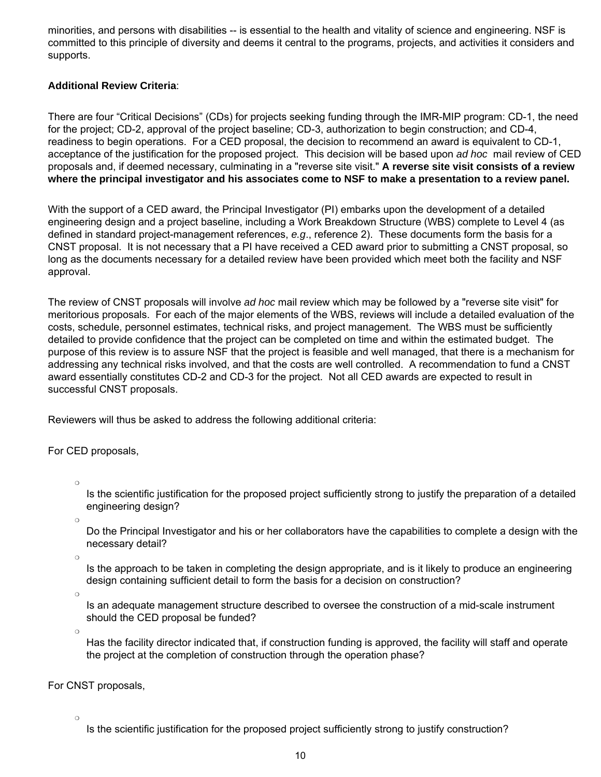minorities, and persons with disabilities -- is essential to the health and vitality of science and engineering. NSF is committed to this principle of diversity and deems it central to the programs, projects, and activities it considers and supports.

# **Additional Review Criteria**:

There are four "Critical Decisions" (CDs) for projects seeking funding through the IMR-MIP program: CD-1, the need for the project; CD-2, approval of the project baseline; CD-3, authorization to begin construction; and CD-4, readiness to begin operations. For a CED proposal, the decision to recommend an award is equivalent to CD-1, acceptance of the justification for the proposed project. This decision will be based upon *ad hoc* mail review of CED proposals and, if deemed necessary, culminating in a "reverse site visit." **A reverse site visit consists of a review where the principal investigator and his associates come to NSF to make a presentation to a review panel.**

With the support of a CED award, the Principal Investigator (PI) embarks upon the development of a detailed engineering design and a project baseline, including a Work Breakdown Structure (WBS) complete to Level 4 (as defined in standard project-management references, *e.g*., reference 2). These documents form the basis for a CNST proposal. It is not necessary that a PI have received a CED award prior to submitting a CNST proposal, so long as the documents necessary for a detailed review have been provided which meet both the facility and NSF approval.

The review of CNST proposals will involve *ad hoc* mail review which may be followed by a "reverse site visit" for meritorious proposals. For each of the major elements of the WBS, reviews will include a detailed evaluation of the costs, schedule, personnel estimates, technical risks, and project management. The WBS must be sufficiently detailed to provide confidence that the project can be completed on time and within the estimated budget. The purpose of this review is to assure NSF that the project is feasible and well managed, that there is a mechanism for addressing any technical risks involved, and that the costs are well controlled. A recommendation to fund a CNST award essentially constitutes CD-2 and CD-3 for the project. Not all CED awards are expected to result in successful CNST proposals.

Reviewers will thus be asked to address the following additional criteria:

For CED proposals,

 $\circ$ 

Is the scientific justification for the proposed project sufficiently strong to justify the preparation of a detailed engineering design?

 $\circ$ 

Do the Principal Investigator and his or her collaborators have the capabilities to complete a design with the necessary detail?

 $\Omega$ 

Is the approach to be taken in completing the design appropriate, and is it likely to produce an engineering design containing sufficient detail to form the basis for a decision on construction?

 $\circ$ 

Is an adequate management structure described to oversee the construction of a mid-scale instrument should the CED proposal be funded?

 $\circ$ 

Has the facility director indicated that, if construction funding is approved, the facility will staff and operate the project at the completion of construction through the operation phase?

For CNST proposals,

 $\Omega$ 

Is the scientific justification for the proposed project sufficiently strong to justify construction?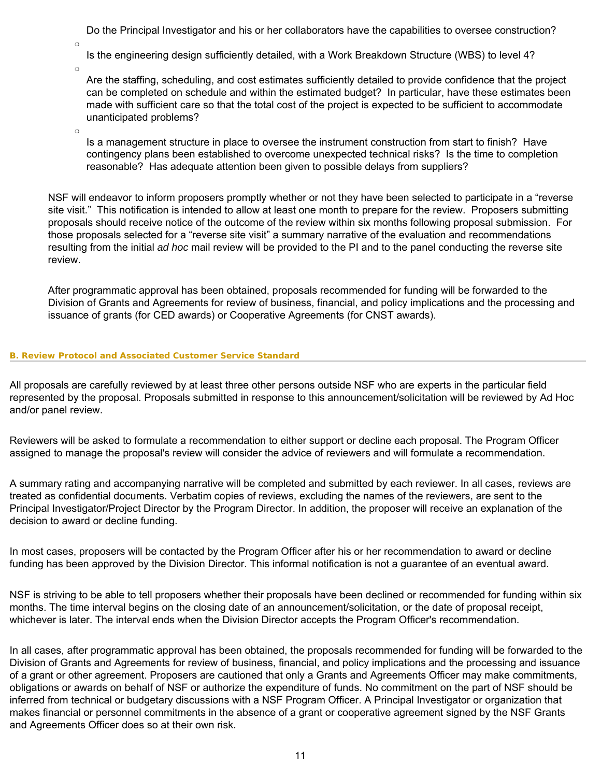Do the Principal Investigator and his or her collaborators have the capabilities to oversee construction?

Is the engineering design sufficiently detailed, with a Work Breakdown Structure (WBS) to level 4?

 $\circ$ 

 $\circ$ 

Are the staffing, scheduling, and cost estimates sufficiently detailed to provide confidence that the project can be completed on schedule and within the estimated budget? In particular, have these estimates been made with sufficient care so that the total cost of the project is expected to be sufficient to accommodate unanticipated problems?

 $\circ$ 

Is a management structure in place to oversee the instrument construction from start to finish? Have contingency plans been established to overcome unexpected technical risks? Is the time to completion reasonable? Has adequate attention been given to possible delays from suppliers?

NSF will endeavor to inform proposers promptly whether or not they have been selected to participate in a "reverse site visit." This notification is intended to allow at least one month to prepare for the review. Proposers submitting proposals should receive notice of the outcome of the review within six months following proposal submission. For those proposals selected for a "reverse site visit" a summary narrative of the evaluation and recommendations resulting from the initial *ad hoc* mail review will be provided to the PI and to the panel conducting the reverse site review.

After programmatic approval has been obtained, proposals recommended for funding will be forwarded to the Division of Grants and Agreements for review of business, financial, and policy implications and the processing and issuance of grants (for CED awards) or Cooperative Agreements (for CNST awards).

### <span id="page-10-0"></span>**B. Review Protocol and Associated Customer Service Standard**

All proposals are carefully reviewed by at least three other persons outside NSF who are experts in the particular field represented by the proposal. Proposals submitted in response to this announcement/solicitation will be reviewed by Ad Hoc and/or panel review.

Reviewers will be asked to formulate a recommendation to either support or decline each proposal. The Program Officer assigned to manage the proposal's review will consider the advice of reviewers and will formulate a recommendation.

A summary rating and accompanying narrative will be completed and submitted by each reviewer. In all cases, reviews are treated as confidential documents. Verbatim copies of reviews, excluding the names of the reviewers, are sent to the Principal Investigator/Project Director by the Program Director. In addition, the proposer will receive an explanation of the decision to award or decline funding.

In most cases, proposers will be contacted by the Program Officer after his or her recommendation to award or decline funding has been approved by the Division Director. This informal notification is not a guarantee of an eventual award.

NSF is striving to be able to tell proposers whether their proposals have been declined or recommended for funding within six months. The time interval begins on the closing date of an announcement/solicitation, or the date of proposal receipt, whichever is later. The interval ends when the Division Director accepts the Program Officer's recommendation.

In all cases, after programmatic approval has been obtained, the proposals recommended for funding will be forwarded to the Division of Grants and Agreements for review of business, financial, and policy implications and the processing and issuance of a grant or other agreement. Proposers are cautioned that only a Grants and Agreements Officer may make commitments, obligations or awards on behalf of NSF or authorize the expenditure of funds. No commitment on the part of NSF should be inferred from technical or budgetary discussions with a NSF Program Officer. A Principal Investigator or organization that makes financial or personnel commitments in the absence of a grant or cooperative agreement signed by the NSF Grants and Agreements Officer does so at their own risk.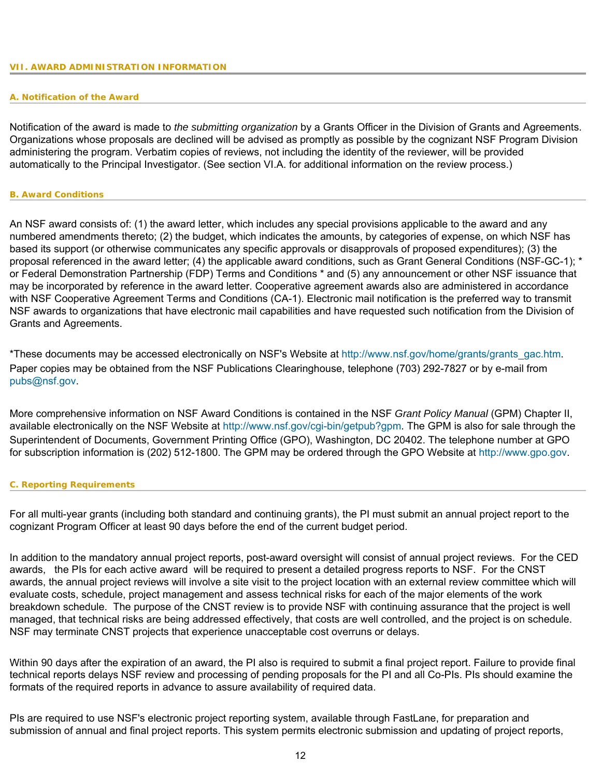#### <span id="page-11-1"></span><span id="page-11-0"></span>**VII. AWARD ADMINISTRATION INFORMATION**

#### **A. Notification of the Award**

Notification of the award is made to *the submitting organization* by a Grants Officer in the Division of Grants and Agreements. Organizations whose proposals are declined will be advised as promptly as possible by the cognizant NSF Program Division administering the program. Verbatim copies of reviews, not including the identity of the reviewer, will be provided automatically to the Principal Investigator. (See section VI.A. for additional information on the review process.)

#### <span id="page-11-2"></span>**B. Award Conditions**

An NSF award consists of: (1) the award letter, which includes any special provisions applicable to the award and any numbered amendments thereto; (2) the budget, which indicates the amounts, by categories of expense, on which NSF has based its support (or otherwise communicates any specific approvals or disapprovals of proposed expenditures); (3) the proposal referenced in the award letter; (4) the applicable award conditions, such as Grant General Conditions (NSF-GC-1); \* or Federal Demonstration Partnership (FDP) Terms and Conditions \* and (5) any announcement or other NSF issuance that may be incorporated by reference in the award letter. Cooperative agreement awards also are administered in accordance with NSF Cooperative Agreement Terms and Conditions (CA-1). Electronic mail notification is the preferred way to transmit NSF awards to organizations that have electronic mail capabilities and have requested such notification from the Division of Grants and Agreements.

\*These documents may be accessed electronically on NSF's Website at [http://www.nsf.gov/home/grants/grants\\_gac.htm.](http://www.nsf.gov/home/grants/grants_gac.htm) Paper copies may be obtained from the NSF Publications Clearinghouse, telephone (703) 292-7827 or by e-mail from [pubs@nsf.gov](mailto:pubs@nsf.gov).

More comprehensive information on NSF Award Conditions is contained in the NSF *Grant Policy Manual* (GPM) Chapter II, available electronically on the NSF Website at [http://www.nsf.gov/cgi-bin/getpub?gpm.](http://www.nsf.gov/cgi-bin/getpub?gpm) The GPM is also for sale through the Superintendent of Documents, Government Printing Office (GPO), Washington, DC 20402. The telephone number at GPO for subscription information is (202) 512-1800. The GPM may be ordered through the GPO Website at [http://www.gpo.gov.](http://www.gpo.gov/)

#### <span id="page-11-3"></span>**C. Reporting Requirements**

For all multi-year grants (including both standard and continuing grants), the PI must submit an annual project report to the cognizant Program Officer at least 90 days before the end of the current budget period.

In addition to the mandatory annual project reports, post-award oversight will consist of annual project reviews. For the CED awards, the PIs for each active award will be required to present a detailed progress reports to NSF. For the CNST awards, the annual project reviews will involve a site visit to the project location with an external review committee which will evaluate costs, schedule, project management and assess technical risks for each of the major elements of the work breakdown schedule. The purpose of the CNST review is to provide NSF with continuing assurance that the project is well managed, that technical risks are being addressed effectively, that costs are well controlled, and the project is on schedule. NSF may terminate CNST projects that experience unacceptable cost overruns or delays.

Within 90 days after the expiration of an award, the PI also is required to submit a final project report. Failure to provide final technical reports delays NSF review and processing of pending proposals for the PI and all Co-PIs. PIs should examine the formats of the required reports in advance to assure availability of required data.

PIs are required to use NSF's electronic project reporting system, available through FastLane, for preparation and submission of annual and final project reports. This system permits electronic submission and updating of project reports,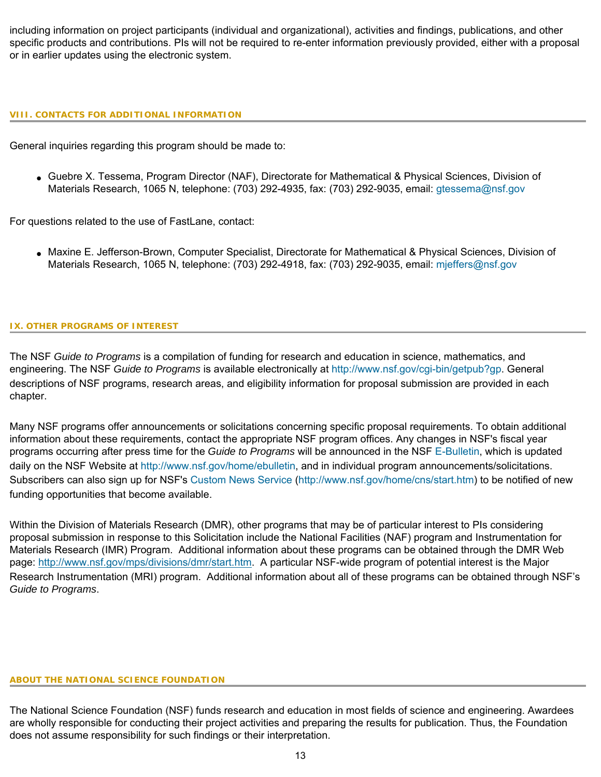<span id="page-12-0"></span>including information on project participants (individual and organizational), activities and findings, publications, and other specific products and contributions. PIs will not be required to re-enter information previously provided, either with a proposal or in earlier updates using the electronic system.

### **VIII. CONTACTS FOR ADDITIONAL INFORMATION**

General inquiries regarding this program should be made to:

● Guebre X. Tessema, Program Director (NAF), Directorate for Mathematical & Physical Sciences, Division of Materials Research, 1065 N, telephone: (703) 292-4935, fax: (703) 292-9035, email: [gtessema@nsf.gov](mailto:gtessema@nsf.gov)

For questions related to the use of FastLane, contact:

● Maxine E. Jefferson-Brown, Computer Specialist, Directorate for Mathematical & Physical Sciences, Division of Materials Research, 1065 N, telephone: (703) 292-4918, fax: (703) 292-9035, email: [mjeffers@nsf.gov](mailto:mjeffers@nsf.gov)

### <span id="page-12-1"></span>**IX. OTHER PROGRAMS OF INTEREST**

The NSF *Guide to Programs* is a compilation of funding for research and education in science, mathematics, and engineering. The NSF *Guide to Programs* is available electronically at [http://www.nsf.gov/cgi-bin/getpub?gp.](http://www.nsf.gov/cgi-bin/getpub?gp) General descriptions of NSF programs, research areas, and eligibility information for proposal submission are provided in each chapter.

Many NSF programs offer announcements or solicitations concerning specific proposal requirements. To obtain additional information about these requirements, contact the appropriate NSF program offices. Any changes in NSF's fiscal year programs occurring after press time for the *Guide to Programs* will be announced in the NSF [E-Bulletin,](http://www.nsf.gov/home/ebulletin) which is updated daily on the NSF Website at<http://www.nsf.gov/home/ebulletin>, and in individual program announcements/solicitations. Subscribers can also sign up for NSF's [Custom News Service \(http://www.nsf.gov/home/cns/start.htm\)](http://www.nsf.gov/home/cns/start.htm) to be notified of new funding opportunities that become available.

Within the Division of Materials Research (DMR), other programs that may be of particular interest to PIs considering proposal submission in response to this Solicitation include the National Facilities (NAF) program and Instrumentation for Materials Research (IMR) Program. Additional information about these programs can be obtained through the DMR Web page: [http://www.nsf.gov/mps/divisions/dmr/start.htm.](http://www.nsf.gov/mps/divisions/dmr/start.htm) A particular NSF-wide program of potential interest is the Major Research Instrumentation (MRI) program. Additional information about all of these programs can be obtained through NSF's *Guide to Programs*.

#### **ABOUT THE NATIONAL SCIENCE FOUNDATION**

The National Science Foundation (NSF) funds research and education in most fields of science and engineering. Awardees are wholly responsible for conducting their project activities and preparing the results for publication. Thus, the Foundation does not assume responsibility for such findings or their interpretation.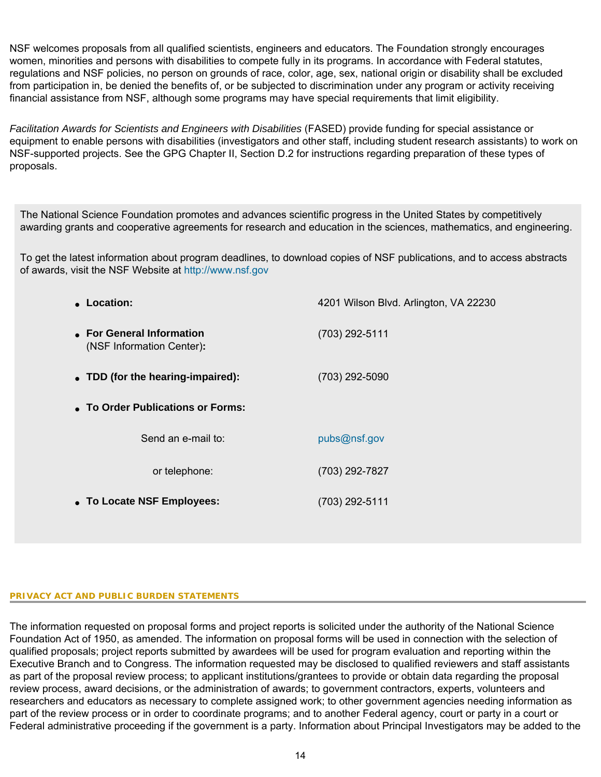NSF welcomes proposals from all qualified scientists, engineers and educators. The Foundation strongly encourages women, minorities and persons with disabilities to compete fully in its programs. In accordance with Federal statutes, regulations and NSF policies, no person on grounds of race, color, age, sex, national origin or disability shall be excluded from participation in, be denied the benefits of, or be subjected to discrimination under any program or activity receiving financial assistance from NSF, although some programs may have special requirements that limit eligibility.

*Facilitation Awards for Scientists and Engineers with Disabilities* (FASED) provide funding for special assistance or equipment to enable persons with disabilities (investigators and other staff, including student research assistants) to work on NSF-supported projects. See the GPG Chapter II, Section D.2 for instructions regarding preparation of these types of proposals.

The National Science Foundation promotes and advances scientific progress in the United States by competitively awarding grants and cooperative agreements for research and education in the sciences, mathematics, and engineering.

To get the latest information about program deadlines, to download copies of NSF publications, and to access abstracts of awards, visit the NSF Website at [http://www.nsf.gov](http://www.nsf.gov/)

| • Location:                                            | 4201 Wilson Blvd. Arlington, VA 22230 |
|--------------------------------------------------------|---------------------------------------|
| • For General Information<br>(NSF Information Center): | (703) 292-5111                        |
| • TDD (for the hearing-impaired):                      | (703) 292-5090                        |
| • To Order Publications or Forms:                      |                                       |
| Send an e-mail to:                                     | pubs@nsf.gov                          |
| or telephone:                                          | (703) 292-7827                        |
| • To Locate NSF Employees:                             | (703) 292-5111                        |

### **PRIVACY ACT AND PUBLIC BURDEN STATEMENTS**

The information requested on proposal forms and project reports is solicited under the authority of the National Science Foundation Act of 1950, as amended. The information on proposal forms will be used in connection with the selection of qualified proposals; project reports submitted by awardees will be used for program evaluation and reporting within the Executive Branch and to Congress. The information requested may be disclosed to qualified reviewers and staff assistants as part of the proposal review process; to applicant institutions/grantees to provide or obtain data regarding the proposal review process, award decisions, or the administration of awards; to government contractors, experts, volunteers and researchers and educators as necessary to complete assigned work; to other government agencies needing information as part of the review process or in order to coordinate programs; and to another Federal agency, court or party in a court or Federal administrative proceeding if the government is a party. Information about Principal Investigators may be added to the